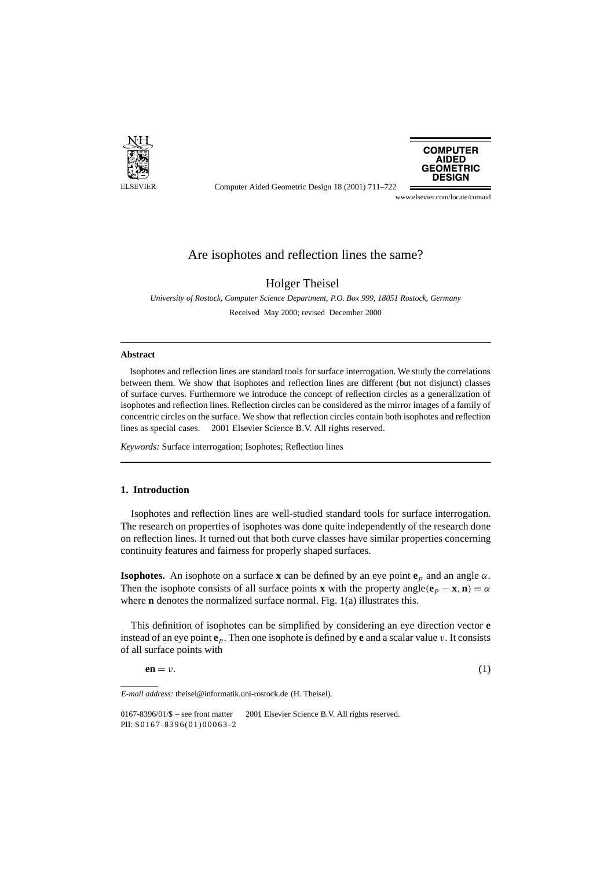

**COMPUTER AIDED GEOMETRIC DESIGN** 

Computer Aided Geometric Design 18 (2001) 711–722

## www.elsevier.com/locate/comaid

# Are isophotes and reflection lines the same?

Holger Theisel

*University of Rostock, Computer Science Department, P.O. Box 999, 18051 Rostock, Germany* Received May 2000; revised December 2000

#### **Abstract**

Isophotes and reflection lines are standard tools for surface interrogation. We study the correlations between them. We show that isophotes and reflection lines are different (but not disjunct) classes of surface curves. Furthermore we introduce the concept of reflection circles as a generalization of isophotes and reflection lines. Reflection circles can be considered as the mirror images of a family of concentric circles on the surface. We show that reflection circles contain both isophotes and reflection lines as special cases.  $© 2001$  Elsevier Science B.V. All rights reserved.

*Keywords:* Surface interrogation; Isophotes; Reflection lines

# **1. Introduction**

Isophotes and reflection lines are well-studied standard tools for surface interrogation. The research on properties of isophotes was done quite independently of the research done on reflection lines. It turned out that both curve classes have similar properties concerning continuity features and fairness for properly shaped surfaces.

**Isophotes.** An isophote on a surface **x** can be defined by an eye point  $\mathbf{e}_p$  and an angle  $\alpha$ . Then the isophote consists of all surface points **x** with the property angle $(e_p - x, n) = \alpha$ where **n** denotes the normalized surface normal. Fig. 1(a) illustrates this.

This definition of isophotes can be simplified by considering an eye direction vector **e** instead of an eye point **e***p*. Then one isophote is defined by **e** and a scalar value *v*. It consists of all surface points with

$$
en = v. \tag{1}
$$

*E-mail address:* theisel@informatik.uni-rostock.de (H. Theisel).

<sup>0167-8396/01/\$ –</sup> see front matter  $\odot$  2001 Elsevier Science B.V. All rights reserved. PII: S0167-8396(01)00063-2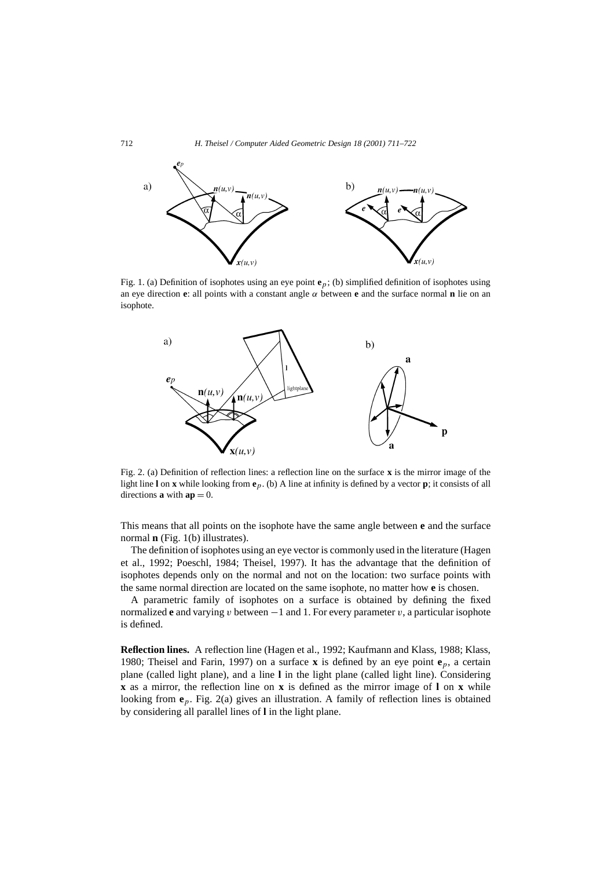

Fig. 1. (a) Definition of isophotes using an eye point **e***p*; (b) simplified definition of isophotes using an eye direction **e**: all points with a constant angle *α* between **e** and the surface normal **n** lie on an isophote.



Fig. 2. (a) Definition of reflection lines: a reflection line on the surface **x** is the mirror image of the light line **l** on **x** while looking from **e***p*. (b) A line at infinity is defined by a vector **p**; it consists of all directions **a** with  $ap = 0$ .

This means that all points on the isophote have the same angle between **e** and the surface normal **n** (Fig. 1(b) illustrates).

The definition of isophotes using an eye vector is commonly used in the literature (Hagen et al., 1992; Poeschl, 1984; Theisel, 1997). It has the advantage that the definition of isophotes depends only on the normal and not on the location: two surface points with the same normal direction are located on the same isophote, no matter how **e** is chosen.

A parametric family of isophotes on a surface is obtained by defining the fixed normalized **e** and varying *v* between  $-1$  and 1. For every parameter *v*, a particular isophote is defined.

**Reflection lines.** A reflection line (Hagen et al., 1992; Kaufmann and Klass, 1988; Klass, 1980; Theisel and Farin, 1997) on a surface **x** is defined by an eye point **e***p*, a certain plane (called light plane), and a line **l** in the light plane (called light line). Considering **x** as a mirror, the reflection line on **x** is defined as the mirror image of **l** on **x** while looking from  $e_p$ . Fig. 2(a) gives an illustration. A family of reflection lines is obtained by considering all parallel lines of **l** in the light plane.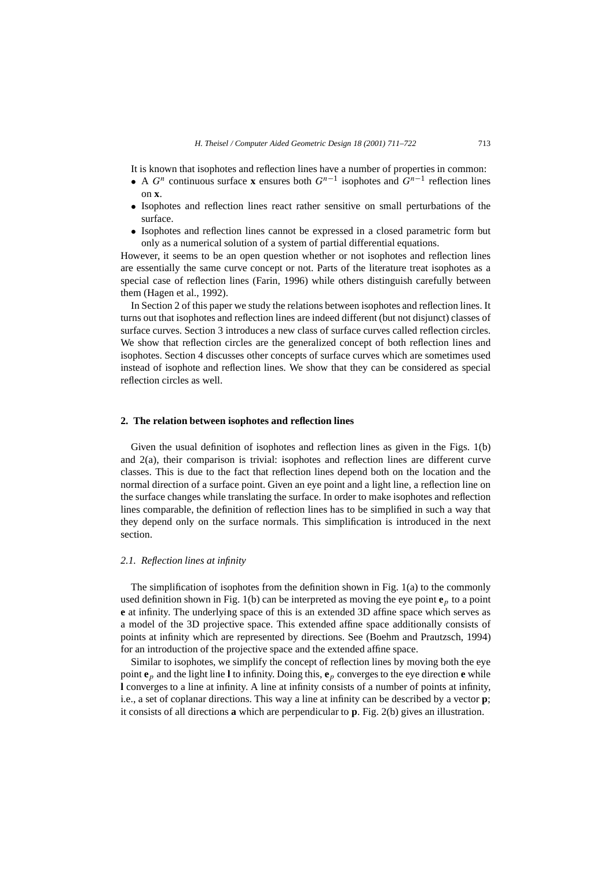It is known that isophotes and reflection lines have a number of properties in common:

- A  $G^n$  continuous surface **x** ensures both  $G^{n-1}$  isophotes and  $G^{n-1}$  reflection lines on **x**.
- Isophotes and reflection lines react rather sensitive on small perturbations of the surface.
- Isophotes and reflection lines cannot be expressed in a closed parametric form but only as a numerical solution of a system of partial differential equations.

However, it seems to be an open question whether or not isophotes and reflection lines are essentially the same curve concept or not. Parts of the literature treat isophotes as a special case of reflection lines (Farin, 1996) while others distinguish carefully between them (Hagen et al., 1992).

In Section 2 of this paper we study the relations between isophotes and reflection lines. It turns out that isophotes and reflection lines are indeed different (but not disjunct) classes of surface curves. Section 3 introduces a new class of surface curves called reflection circles. We show that reflection circles are the generalized concept of both reflection lines and isophotes. Section 4 discusses other concepts of surface curves which are sometimes used instead of isophote and reflection lines. We show that they can be considered as special reflection circles as well.

#### **2. The relation between isophotes and reflection lines**

Given the usual definition of isophotes and reflection lines as given in the Figs. 1(b) and 2(a), their comparison is trivial: isophotes and reflection lines are different curve classes. This is due to the fact that reflection lines depend both on the location and the normal direction of a surface point. Given an eye point and a light line, a reflection line on the surface changes while translating the surface. In order to make isophotes and reflection lines comparable, the definition of reflection lines has to be simplified in such a way that they depend only on the surface normals. This simplification is introduced in the next section.

#### *2.1. Reflection lines at infinity*

The simplification of isophotes from the definition shown in Fig. 1(a) to the commonly used definition shown in Fig. 1(b) can be interpreted as moving the eye point  $\mathbf{e}_p$  to a point **e** at infinity. The underlying space of this is an extended 3D affine space which serves as a model of the 3D projective space. This extended affine space additionally consists of points at infinity which are represented by directions. See (Boehm and Prautzsch, 1994) for an introduction of the projective space and the extended affine space.

Similar to isophotes, we simplify the concept of reflection lines by moving both the eye point **e***<sup>p</sup>* and the light line **l** to infinity. Doing this, **e***<sup>p</sup>* converges to the eye direction **e** while **l** converges to a line at infinity. A line at infinity consists of a number of points at infinity, i.e., a set of coplanar directions. This way a line at infinity can be described by a vector **p**; it consists of all directions **a** which are perpendicular to **p**. Fig. 2(b) gives an illustration.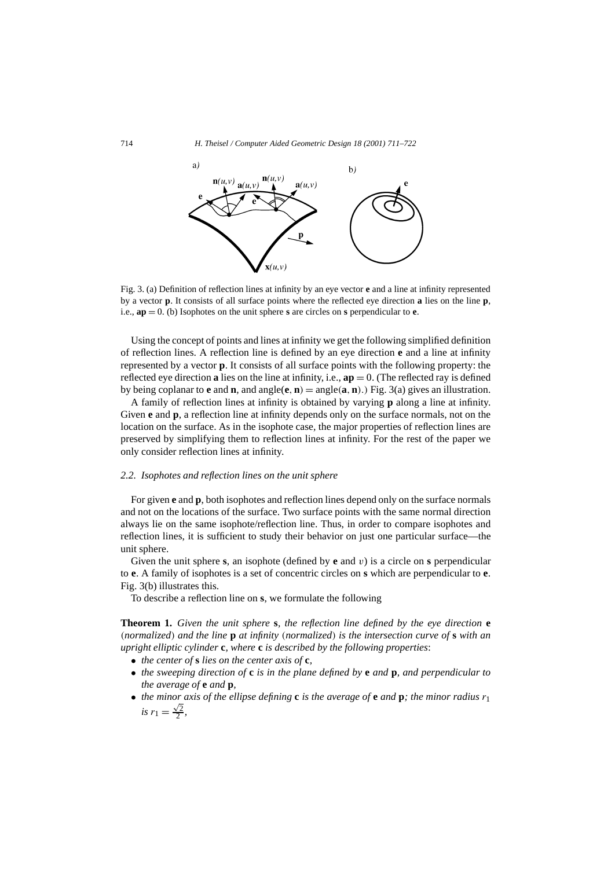

Fig. 3. (a) Definition of reflection lines at infinity by an eye vector **e** and a line at infinity represented by a vector **p**. It consists of all surface points where the reflected eye direction **a** lies on the line **p**, i.e., **ap** = 0. (b) Isophotes on the unit sphere **s** are circles on **s** perpendicular to **e**.

Using the concept of points and lines at infinity we get the following simplified definition of reflection lines. A reflection line is defined by an eye direction **e** and a line at infinity represented by a vector **p**. It consists of all surface points with the following property: the reflected eye direction **a** lies on the line at infinity, i.e.,  $ap = 0$ . (The reflected ray is defined by being coplanar to **e** and **n**, and angle(**e**, **n**) = angle(**a**, **n**).) Fig. 3(a) gives an illustration.

A family of reflection lines at infinity is obtained by varying **p** along a line at infinity. Given **e** and **p**, a reflection line at infinity depends only on the surface normals, not on the location on the surface. As in the isophote case, the major properties of reflection lines are preserved by simplifying them to reflection lines at infinity. For the rest of the paper we only consider reflection lines at infinity.

#### *2.2. Isophotes and reflection lines on the unit sphere*

For given **e** and **p**, both isophotes and reflection lines depend only on the surface normals and not on the locations of the surface. Two surface points with the same normal direction always lie on the same isophote/reflection line. Thus, in order to compare isophotes and reflection lines, it is sufficient to study their behavior on just one particular surface—the unit sphere.

Given the unit sphere **s**, an isophote (defined by **e** and *v*) is a circle on **s** perpendicular to **e**. A family of isophotes is a set of concentric circles on **s** which are perpendicular to **e**. Fig. 3(b) illustrates this.

To describe a reflection line on **s**, we formulate the following

**Theorem 1.** *Given the unit sphere* **s***, the reflection line defined by the eye direction* **e** *(normalized) and the line* **p** *at infinity (normalized) is the intersection curve of* **s** *with an upright elliptic cylinder* **c***, where* **c** *is described by the following properties*:

- *the center of* **s** *lies on the center axis of* **c***,*
- *the sweeping direction of* **c** *is in the plane defined by* **e** *and* **p***, and perpendicular to the average of* **e** *and* **p***,*
- *the minor axis of the ellipse defining* **c** *is the average of* **e** *and* **p**; *the minor radius*  $r_1$ *is*  $r_1 = \frac{\sqrt{2}}{2}$ ,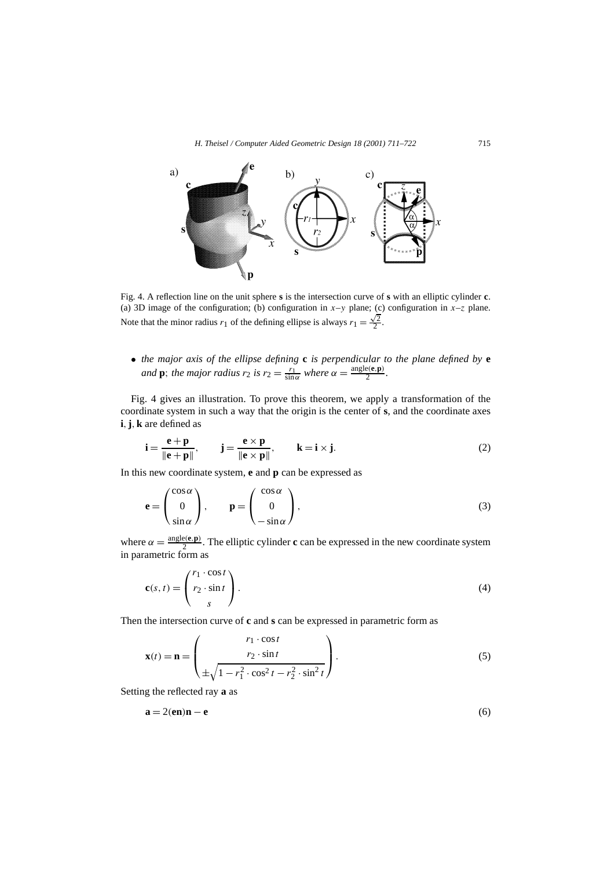

Fig. 4. A reflection line on the unit sphere **s** is the intersection curve of **s** with an elliptic cylinder **c**. (a) 3D image of the configuration; (b) configuration in  $x$ -*y* plane; (c) configuration in  $x$ -*z* plane. Note that the minor radius  $r_1$  of the defining ellipse is always  $r_1 = \frac{\sqrt{2}}{2}$ .

• *the major axis of the ellipse defining* **c** *is perpendicular to the plane defined by* **e** *and* **p**; *the major radius*  $r_2$  *is*  $r_2 = \frac{r_1}{\sin \alpha}$  *where*  $\alpha = \frac{\text{angle}(e, \mathbf{p})}{2}$ *.* 

Fig. 4 gives an illustration. To prove this theorem, we apply a transformation of the coordinate system in such a way that the origin is the center of **s**, and the coordinate axes **i***,***j***,***k** are defined as

$$
\mathbf{i} = \frac{\mathbf{e} + \mathbf{p}}{\|\mathbf{e} + \mathbf{p}\|}, \qquad \mathbf{j} = \frac{\mathbf{e} \times \mathbf{p}}{\|\mathbf{e} \times \mathbf{p}\|}, \qquad \mathbf{k} = \mathbf{i} \times \mathbf{j}.
$$
 (2)

In this new coordinate system, **e** and **p** can be expressed as

$$
\mathbf{e} = \begin{pmatrix} \cos \alpha \\ 0 \\ \sin \alpha \end{pmatrix}, \qquad \mathbf{p} = \begin{pmatrix} \cos \alpha \\ 0 \\ -\sin \alpha \end{pmatrix}, \tag{3}
$$

where  $\alpha = \frac{\text{angle}(e, \mathbf{p})}{2}$ . The elliptic cylinder **c** can be expressed in the new coordinate system in parametric form as

$$
\mathbf{c}(s,t) = \begin{pmatrix} r_1 \cdot \cos t \\ r_2 \cdot \sin t \\ s \end{pmatrix} . \tag{4}
$$

Then the intersection curve of **c** and **s** can be expressed in parametric form as

$$
\mathbf{x}(t) = \mathbf{n} = \begin{pmatrix} r_1 \cdot \cos t \\ r_2 \cdot \sin t \\ \pm \sqrt{1 - r_1^2 \cdot \cos^2 t - r_2^2 \cdot \sin^2 t} \end{pmatrix}.
$$
 (5)

Setting the reflected ray **a** as

$$
\mathbf{a} = 2(\mathbf{e}\mathbf{n})\mathbf{n} - \mathbf{e} \tag{6}
$$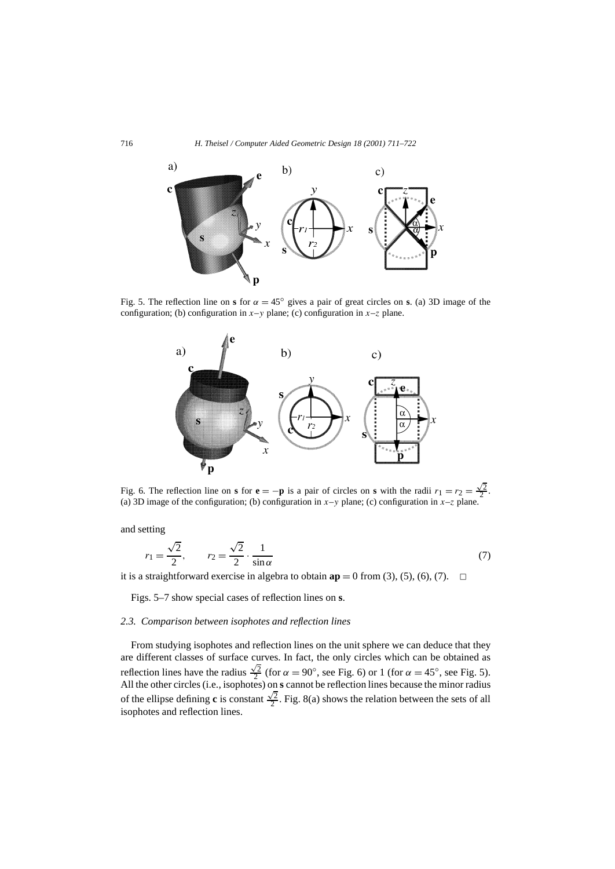

Fig. 5. The reflection line on **s** for  $\alpha = 45^\circ$  gives a pair of great circles on **s**. (a) 3D image of the configuration; (b) configuration in  $x-y$  plane; (c) configuration in  $x-z$  plane.



Fig. 6. The reflection line on **s** for **e** = −**p** is a pair of circles on **s** with the radii  $r_1 = r_2 = \frac{\sqrt{2}}{2}$ . (a) 3D image of the configuration; (b) configuration in  $x-y$  plane; (c) configuration in  $x-z$  plane.

and setting

$$
r_1 = \frac{\sqrt{2}}{2}, \qquad r_2 = \frac{\sqrt{2}}{2} \cdot \frac{1}{\sin \alpha} \tag{7}
$$

it is a straightforward exercise in algebra to obtain  $ap = 0$  from (3), (5), (6), (7).  $\Box$ 

Figs. 5–7 show special cases of reflection lines on **s**.

# *2.3. Comparison between isophotes and reflection lines*

From studying isophotes and reflection lines on the unit sphere we can deduce that they are different classes of surface curves. In fact, the only circles which can be obtained as reflection lines have the radius  $\frac{\sqrt{2}}{2}$  (for  $\alpha = 90^\circ$ , see Fig. 6) or 1 (for  $\alpha = 45^\circ$ , see Fig. 5). All the other circles (i.e., isophotes) on **s** cannot be reflection lines because the minor radius of the ellipse defining **c** is constant  $\frac{\sqrt{2}}{2}$ . Fig. 8(a) shows the relation between the sets of all isophotes and reflection lines.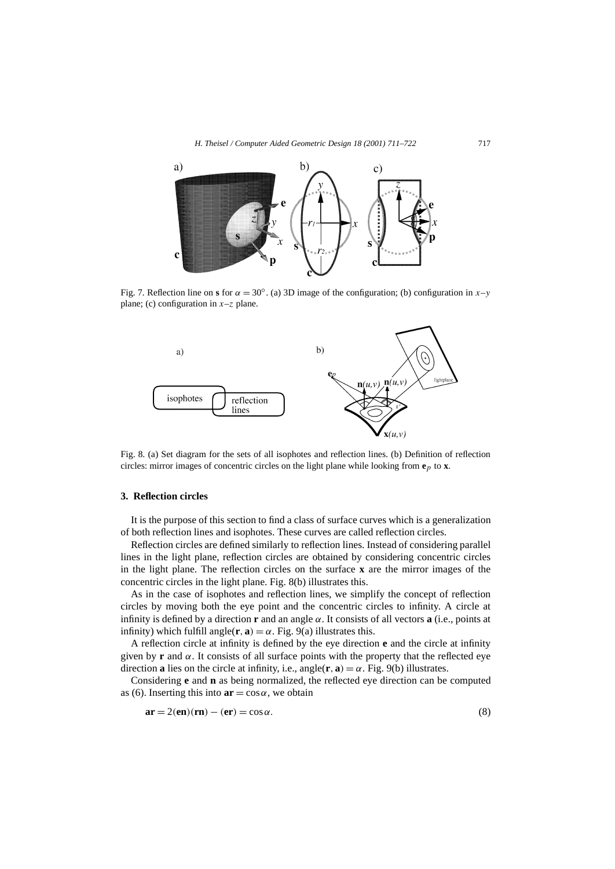

Fig. 7. Reflection line on **s** for *α* = 30◦. (a) 3D image of the configuration; (b) configuration in *x*–*y* plane; (c) configuration in *x*–*z* plane.



Fig. 8. (a) Set diagram for the sets of all isophotes and reflection lines. (b) Definition of reflection circles: mirror images of concentric circles on the light plane while looking from **e***p* to **x**.

## **3. Reflection circles**

It is the purpose of this section to find a class of surface curves which is a generalization of both reflection lines and isophotes. These curves are called reflection circles.

Reflection circles are defined similarly to reflection lines. Instead of considering parallel lines in the light plane, reflection circles are obtained by considering concentric circles in the light plane. The reflection circles on the surface **x** are the mirror images of the concentric circles in the light plane. Fig. 8(b) illustrates this.

As in the case of isophotes and reflection lines, we simplify the concept of reflection circles by moving both the eye point and the concentric circles to infinity. A circle at infinity is defined by a direction **r** and an angle *α*. It consists of all vectors **a** (i.e., points at infinity) which fulfill angle( $\mathbf{r}, \mathbf{a}$ ) =  $\alpha$ . Fig. 9(a) illustrates this.

A reflection circle at infinity is defined by the eye direction **e** and the circle at infinity given by **r** and  $\alpha$ . It consists of all surface points with the property that the reflected eye direction **a** lies on the circle at infinity, i.e.,  $angle(\mathbf{r}, \mathbf{a}) = \alpha$ . Fig. 9(b) illustrates.

Considering **e** and **n** as being normalized, the reflected eye direction can be computed as (6). Inserting this into  $ar = cos \alpha$ , we obtain

$$
\mathbf{ar} = 2(\mathbf{en})(\mathbf{rn}) - (\mathbf{er}) = \cos \alpha.
$$
 (8)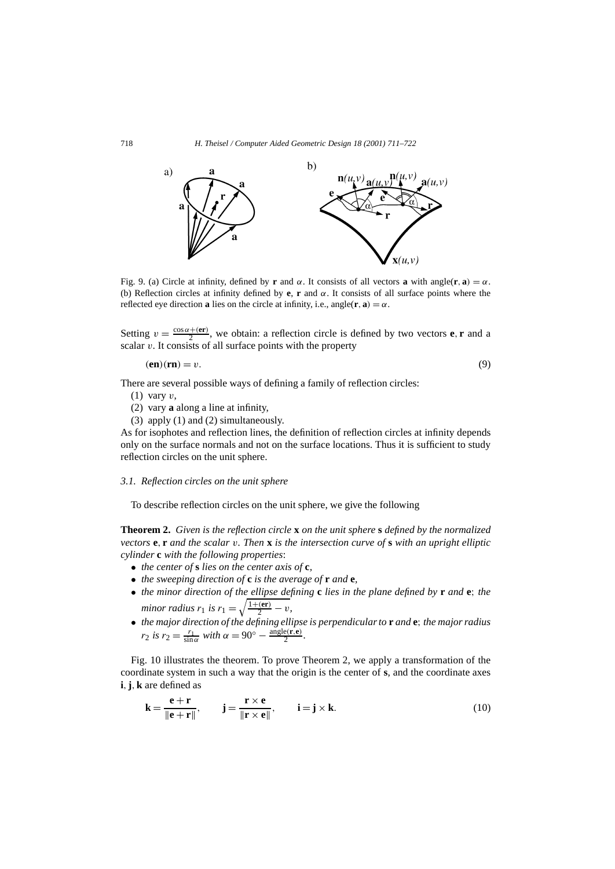

Fig. 9. (a) Circle at infinity, defined by **r** and  $\alpha$ . It consists of all vectors **a** with angle(**r**, **a**) =  $\alpha$ . (b) Reflection circles at infinity defined by **e**, **r** and *α*. It consists of all surface points where the reflected eye direction **a** lies on the circle at infinity, i.e., angle(**r**, **a**) =  $\alpha$ .

Setting  $v = \frac{\cos \alpha + (\mathbf{e}\mathbf{r})}{2}$ , we obtain: a reflection circle is defined by two vectors **e**, **r** and a scalar *v*. It consists of all surface points with the property

$$
(en)(rn) = v.
$$
\n(9)

There are several possible ways of defining a family of reflection circles:

- (1) vary *v*,
- (2) vary **a** along a line at infinity,
- (3) apply (1) and (2) simultaneously.

As for isophotes and reflection lines, the definition of reflection circles at infinity depends only on the surface normals and not on the surface locations. Thus it is sufficient to study reflection circles on the unit sphere.

# *3.1. Reflection circles on the unit sphere*

To describe reflection circles on the unit sphere, we give the following

**Theorem 2.** *Given is the reflection circle* **x** *on the unit sphere* **s** *defined by the normalized vectors* **e***,* **r** *and the scalar v. Then* **x** *is the intersection curve of* **s** *with an upright elliptic cylinder* **c** *with the following properties*:

- *the center of* **s** *lies on the center axis of* **c***,*
- 
- *the sweeping direction of* **c** *is the average of* **r** *and* **e**,<br>• *the minor direction of the ellipse defining* **c** *lies in the plane defined by* **r** *and* **e**; *the* • *the minor direction of the ellipse defining* **c** *lies in the plane defined by* **r** *and* **e**; *the minor radius*  $r_1$  *is*  $r_1 = \sqrt{\frac{1+(\mathbf{er})}{2} - v}$ ,
- *the major direction of the defining ellipse is perpendicular to* **r** *and* **e**; *the major radius r*<sub>2</sub> *is*  $r_2 = \frac{r_1}{\sin \alpha}$  *with*  $\alpha = 90^\circ - \frac{\text{angle}(r, e)}{2}$ .

Fig. 10 illustrates the theorem. To prove Theorem 2, we apply a transformation of the coordinate system in such a way that the origin is the center of **s**, and the coordinate axes **i***,***j***,***k** are defined as

$$
\mathbf{k} = \frac{\mathbf{e} + \mathbf{r}}{\|\mathbf{e} + \mathbf{r}\|}, \qquad \mathbf{j} = \frac{\mathbf{r} \times \mathbf{e}}{\|\mathbf{r} \times \mathbf{e}\|}, \qquad \mathbf{i} = \mathbf{j} \times \mathbf{k}.
$$
 (10)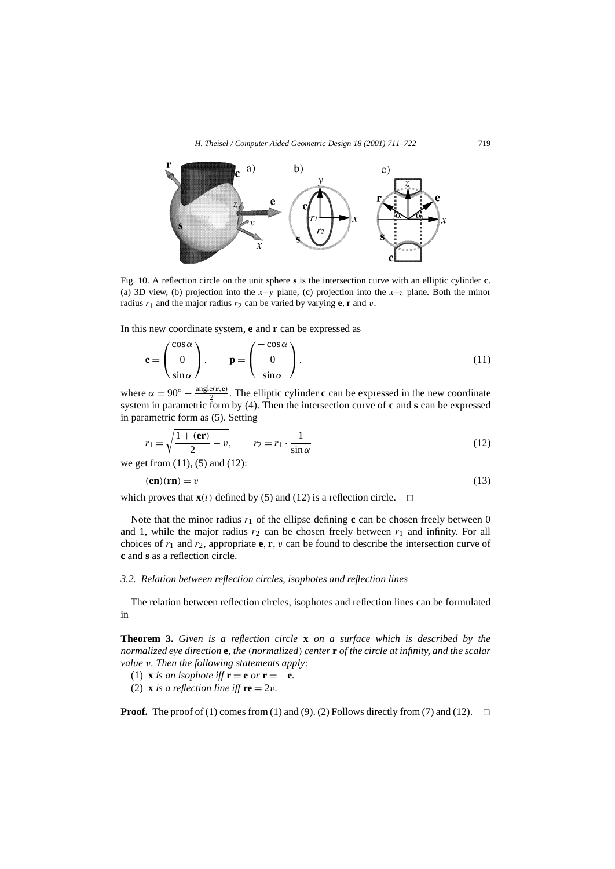

Fig. 10. A reflection circle on the unit sphere **s** is the intersection curve with an elliptic cylinder **c**. (a) 3D view, (b) projection into the  $x-y$  plane, (c) projection into the  $x-z$  plane. Both the minor radius  $r_1$  and the major radius  $r_2$  can be varied by varying **e**, **r** and *v*.

In this new coordinate system, **e** and **r** can be expressed as

$$
\mathbf{e} = \begin{pmatrix} \cos \alpha \\ 0 \\ \sin \alpha \end{pmatrix}, \qquad \mathbf{p} = \begin{pmatrix} -\cos \alpha \\ 0 \\ \sin \alpha \end{pmatrix}, \tag{11}
$$

where  $\alpha = 90^\circ - \frac{\text{angle}(r, e)}{2}$ . The elliptic cylinder **c** can be expressed in the new coordinate system in parametric form by (4). Then the intersection curve of **c** and **s** can be expressed in parametric form as (5). Setting

$$
r_1 = \sqrt{\frac{1 + (\mathbf{er})}{2}} - v, \qquad r_2 = r_1 \cdot \frac{1}{\sin \alpha} \tag{12}
$$

we get from (11), (5) and (12):

$$
(en)(rn) = v \tag{13}
$$

which proves that  $\mathbf{x}(t)$  defined by (5) and (12) is a reflection circle.  $\Box$ 

Note that the minor radius  $r_1$  of the ellipse defining **c** can be chosen freely between 0 and 1, while the major radius  $r_2$  can be chosen freely between  $r_1$  and infinity. For all choices of  $r_1$  and  $r_2$ , appropriate **e**, **r**, *v* can be found to describe the intersection curve of **c** and **s** as a reflection circle.

#### *3.2. Relation between reflection circles, isophotes and reflection lines*

The relation between reflection circles, isophotes and reflection lines can be formulated in

**Theorem 3.** *Given is a reflection circle* **x** *on a surface which is described by the normalized eye direction* **e***, the (normalized) center* **r** *of the circle at infinity, and the scalar value v. Then the following statements apply*:

- (1) **x** *is an isophote iff*  $\mathbf{r} = \mathbf{e}$  *or*  $\mathbf{r} = -\mathbf{e}$ *.*
- (2) **x** *is a reflection line iff*  $re = 2v$ *.*

**Proof.** The proof of (1) comes from (1) and (9). (2) Follows directly from (7) and (12).  $\Box$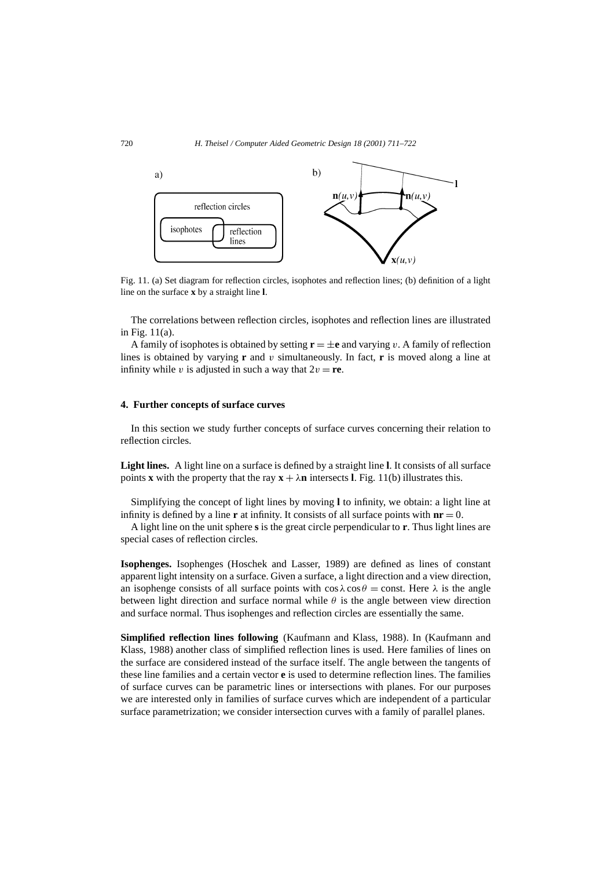

Fig. 11. (a) Set diagram for reflection circles, isophotes and reflection lines; (b) definition of a light line on the surface **x** by a straight line **l**.

The correlations between reflection circles, isophotes and reflection lines are illustrated in Fig. 11(a).

A family of isophotes is obtained by setting  $\mathbf{r} = \pm \mathbf{e}$  and varying *v*. A family of reflection lines is obtained by varying **r** and *v* simultaneously. In fact, **r** is moved along a line at infinity while *v* is adjusted in such a way that  $2v = \mathbf{re}$ .

## **4. Further concepts of surface curves**

In this section we study further concepts of surface curves concerning their relation to reflection circles.

**Light lines.** A light line on a surface is defined by a straight line **l**. It consists of all surface points **x** with the property that the ray  $\mathbf{x} + \lambda \mathbf{n}$  intersects **l**. Fig. 11(b) illustrates this.

Simplifying the concept of light lines by moving **l** to infinity, we obtain: a light line at infinity is defined by a line **r** at infinity. It consists of all surface points with  $n\mathbf{r} = 0$ .

A light line on the unit sphere **s** is the great circle perpendicular to **r**. Thus light lines are special cases of reflection circles.

**Isophenges.** Isophenges (Hoschek and Lasser, 1989) are defined as lines of constant apparent light intensity on a surface. Given a surface, a light direction and a view direction, an isophenge consists of all surface points with  $\cos \lambda \cos \theta = \text{const.}$  Here  $\lambda$  is the angle between light direction and surface normal while  $\theta$  is the angle between view direction and surface normal. Thus isophenges and reflection circles are essentially the same.

**Simplified reflection lines following** (Kaufmann and Klass, 1988). In (Kaufmann and Klass, 1988) another class of simplified reflection lines is used. Here families of lines on the surface are considered instead of the surface itself. The angle between the tangents of these line families and a certain vector **e** is used to determine reflection lines. The families of surface curves can be parametric lines or intersections with planes. For our purposes we are interested only in families of surface curves which are independent of a particular surface parametrization; we consider intersection curves with a family of parallel planes.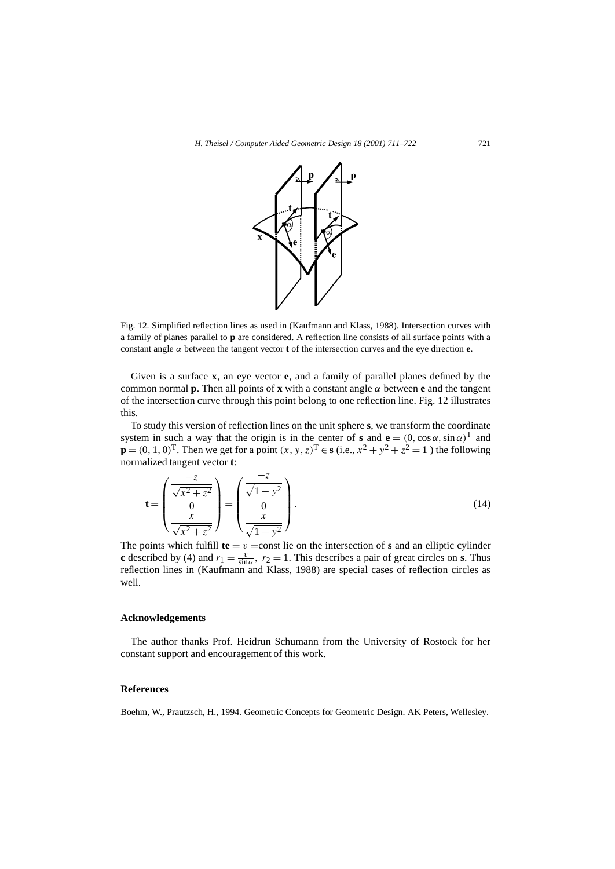

Fig. 12. Simplified reflection lines as used in (Kaufmann and Klass, 1988). Intersection curves with a family of planes parallel to **p** are considered. A reflection line consists of all surface points with a constant angle  $\alpha$  between the tangent vector **t** of the intersection curves and the eye direction **e**.

Given is a surface **x**, an eye vector **e**, and a family of parallel planes defined by the common normal **p**. Then all points of **x** with a constant angle  $\alpha$  between **e** and the tangent of the intersection curve through this point belong to one reflection line. Fig. 12 illustrates this.

To study this version of reflection lines on the unit sphere **s**, we transform the coordinate system in such a way that the origin is in the center of **s** and  $\mathbf{e} = (0, \cos \alpha, \sin \alpha)^T$  and **p** =  $(0, 1, 0)$ <sup>T</sup>. Then we get for a point  $(x, y, z)$ <sup>T</sup> ∈ **s** (i.e.,  $x^2 + y^2 + z^2 = 1$ ) the following normalized tangent vector **t**:

$$
\mathbf{t} = \begin{pmatrix} \frac{-z}{\sqrt{x^2 + z^2}} \\ 0 \\ \frac{x}{\sqrt{x^2 + z^2}} \end{pmatrix} = \begin{pmatrix} \frac{-z}{\sqrt{1 - y^2}} \\ 0 \\ \frac{x}{\sqrt{1 - y^2}} \end{pmatrix}.
$$
 (14)

The points which fulfill  $te = v = const$  lie on the intersection of **s** and an elliptic cylinder **c** described by (4) and  $r_1 = \frac{v}{\sin \alpha}$ ,  $r_2 = 1$ . This describes a pair of great circles on **s**. Thus reflection lines in (Kaufmann and Klass, 1988) are special cases of reflection circles as well.

## **Acknowledgements**

The author thanks Prof. Heidrun Schumann from the University of Rostock for her constant support and encouragement of this work.

## **References**

Boehm, W., Prautzsch, H., 1994. Geometric Concepts for Geometric Design. AK Peters, Wellesley.